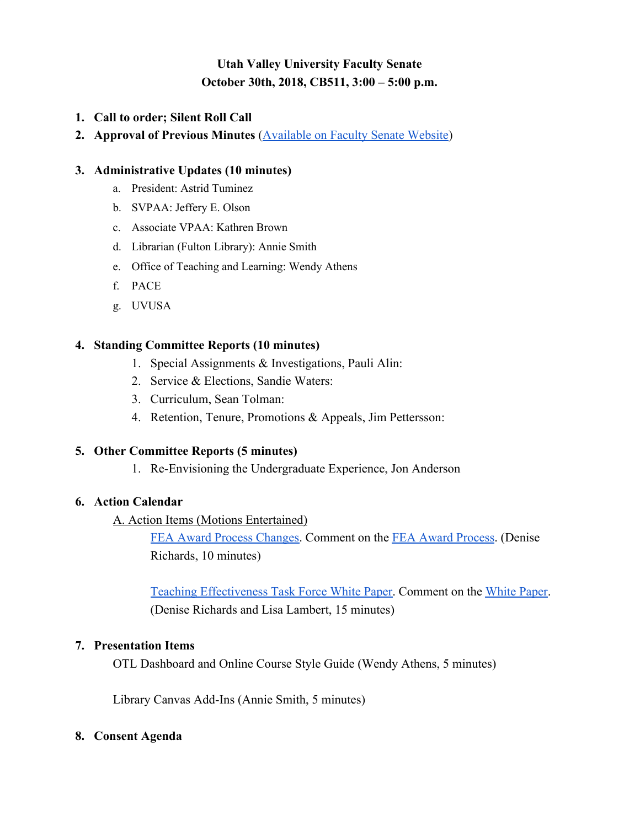# **Utah Valley University Faculty Senate October 30th, 2018, CB511, 3:00 – 5:00 p.m.**

- **1. Call to order; Silent Roll Call**
- **2. Approval of Previous Minutes** [\(Available on Faculty Senate Website](https://www.uvu.edu/facsenate/minutes.html))

#### **3. Administrative Updates (10 minutes)**

- a. President: Astrid Tuminez
- b. SVPAA: Jeffery E. Olson
- c. Associate VPAA: Kathren Brown
- d. Librarian (Fulton Library): Annie Smith
- e. Office of Teaching and Learning: Wendy Athens
- f. PACE
- g. UVUSA

#### **4. Standing Committee Reports (10 minutes)**

- 1. Special Assignments & Investigations, Pauli Alin:
- 2. Service & Elections, Sandie Waters:
- 3. Curriculum, Sean Tolman:
- 4. Retention, Tenure, Promotions & Appeals, Jim Pettersson:

#### **5. Other Committee Reports (5 minutes)**

1. Re-Envisioning the Undergraduate Experience, Jon Anderson

### **6. Action Calendar**

#### A. Action Items (Motions Entertained)

[FEA Award Process Changes](https://drive.google.com/file/d/1HQl4yB2_FHFNW-NAsd1AtN_T2WK_Scsc/view?usp=sharing). Comm[e](https://docs.google.com/document/d/1VlYXC55hoh3sOFgU7Vmps_42nZ2m_KHqpTMfDKZ9kXc/edit?usp=sharing)nt on the [FEA Award Process](https://docs.google.com/document/d/1VlYXC55hoh3sOFgU7Vmps_42nZ2m_KHqpTMfDKZ9kXc/edit?usp=sharing). (Denise Richards, 10 minutes)

[Teaching Effectiveness Task Force White Paper.](https://www.uvu.edu/otl/teachingeffectiveness.html) Comment on th[e](https://docs.google.com/document/d/1APZWGE76aQG5tPxFetdWGfZuVRteVCTRzbycoAiw9xw/edit?usp=sharing) [White Paper](https://docs.google.com/document/d/1APZWGE76aQG5tPxFetdWGfZuVRteVCTRzbycoAiw9xw/edit?usp=sharing). (Denise Richards and Lisa Lambert, 15 minutes)

#### **7. Presentation Items**

OTL Dashboard and Online Course Style Guide (Wendy Athens, 5 minutes)

Library Canvas Add-Ins (Annie Smith, 5 minutes)

#### **8. Consent Agenda**